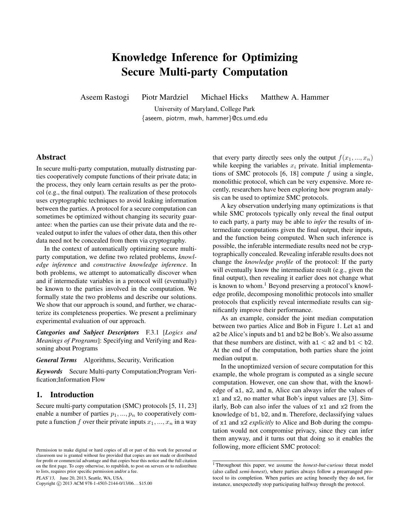# Knowledge Inference for Optimizing Secure Multi-party Computation

Aseem Rastogi Piotr Mardziel Michael Hicks Matthew A. Hammer

University of Maryland, College Park {aseem, piotrm, mwh, hammer}@cs.umd.edu

## Abstract

In secure multi-party computation, mutually distrusting parties cooperatively compute functions of their private data; in the process, they only learn certain results as per the protocol (e.g., the final output). The realization of these protocols uses cryptographic techniques to avoid leaking information between the parties. A protocol for a secure computation can sometimes be optimized without changing its security guarantee: when the parties can use their private data and the revealed output to infer the values of other data, then this other data need not be concealed from them via cryptography.

In the context of automatically optimizing secure multiparty computation, we define two related problems, *knowledge inference* and *constructive knowledge inference*. In both problems, we attempt to automatically discover when and if intermediate variables in a protocol will (eventually) be known to the parties involved in the computation. We formally state the two problems and describe our solutions. We show that our approach is sound, and further, we characterize its completeness properties. We present a preliminary experimental evaluation of our approach.

*Categories and Subject Descriptors* F.3.1 [*Logics and Meanings of Programs*]: Specifying and Verifying and Reasoning about Programs

#### *General Terms* Algorithms, Security, Verification

*Keywords* Secure Multi-party Computation;Program Verification;Information Flow

## 1. Introduction

Secure multi-party computation (SMC) protocols [5, 11, 23] enable a number of parties  $p_1, ..., p_n$  to cooperatively compute a function f over their private inputs  $x_1, ..., x_n$  in a way

PLAS'13, June 20, 2013, Seattle, WA, USA.

Copyright © 2013 ACM 978-1-4503-2144-0/13/06... \$15.00

that every party directly sees only the output  $f(x_1, ..., x_n)$ while keeping the variables  $x_i$  private. Initial implementations of SMC protocols  $[6, 18]$  compute f using a single, monolithic protocol, which can be very expensive. More recently, researchers have been exploring how program analysis can be used to optimize SMC protocols.

A key observation underlying many optimizations is that while SMC protocols typically only reveal the final output to each party, a party may be able to *infer* the results of intermediate computations given the final output, their inputs, and the function being computed. When such inference is possible, the inferable intermediate results need not be cryptographically concealed. Revealing inferable results does not change the *knowledge profile* of the protocol: If the party will eventually know the intermediate result (e.g., given the final output), then revealing it earlier does not change what is known to whom.<sup>1</sup> Beyond preserving a protocol's knowledge profile, decomposing monolithic protocols into smaller protocols that explicitly reveal intermediate results can significantly improve their performance.

As an example, consider the joint median computation between two parties Alice and Bob in Figure 1. Let a1 and a2 be Alice's inputs and b1 and b2 be Bob's. We also assume that these numbers are distinct, with  $a1 < a2$  and  $b1 < b2$ . At the end of the computation, both parties share the joint median output m.

In the unoptimized version of secure computation for this example, the whole program is computed as a single secure computation. However, one can show that, with the knowledge of a1, a2, and m, Alice can always infer the values of x1 and x2, no matter what Bob's input values are [3]. Similarly, Bob can also infer the values of x1 and x2 from the knowledge of b1, b2, and m. Therefore, declassifying values of x1 and x2 *explicitly* to Alice and Bob during the computation would not compromise privacy, since they can infer them anyway, and it turns out that doing so it enables the following, more efficient SMC protocol:

Permission to make digital or hard copies of all or part of this work for personal or classroom use is granted without fee provided that copies are not made or distributed for profit or commercial advantage and that copies bear this notice and the full citation on the first page. To copy otherwise, to republish, to post on servers or to redistribute to lists, requires prior specific permission and/or a fee.

<sup>1</sup> Throughout this paper, we assume the *honest-but-curious* threat model (also called *semi-honest*), where parties always follow a prearranged protocol to its completion. When parties are acting honestly they do not, for instance, unexpectedly stop participating halfway through the protocol.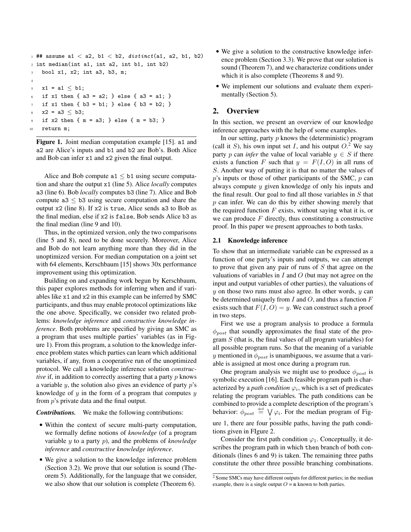```
1 ## assume a1 < a2, b1 < b2, distinct(a1, a2, b1, b2)
2 int median(int a1, int a2, int b1, int b2)
3 bool x1, x2; int a3, b3, m;
4
5 \times 1 = a1 \leq b1;6 if x1 then { a3 = a2; } else { a3 = a1; }
   if x1 then \{ b3 = b1; \} else \{ b3 = b2; \}x^2 = a^3 \leq b^3;if x2 then { m = a3; } else { m = b3; }10 return m;
```

```
Figure 1. Joint median computation example [15]. a1 and
a2 are Alice's inputs and b1 and b2 are Bob's. Both Alice
and Bob can infer x1 and x2 given the final output.
```
Alice and Bob compute  $a1 \leq b1$  using secure computation and share the output x1 (line 5). Alice *locally* computes a3 (line 6). Bob *locally* computes b3 (line 7). Alice and Bob compute  $a3 < b3$  using secure computation and share the output x2 (line 8). If x2 is true, Alice sends a3 to Bob as the final median, else if x2 is false, Bob sends Alice b3 as the final median (line 9 and 10).

Thus, in the optimized version, only the two comparisons (line 5 and 8), need to be done securely. Moreover, Alice and Bob do not learn anything more than they did in the unoptimized version. For median computation on a joint set with 64 elements, Kerschbaum [15] shows 30x performance improvement using this optimization.

Building on and expanding work begun by Kerschbaum, this paper explores methods for inferring when and if variables like x1 and x2 in this example can be inferred by SMC participants, and thus may enable protocol optimizations like the one above. Specifically, we consider two related problems: *knowledge inference* and *constructive knowledge inference*. Both problems are specified by giving an SMC as a program that uses multiple parties' variables (as in Figure 1). From this program, a solution to the knowledge inference problem states which parties can learn which additional variables, if any, from a cooperative run of the unoptimized protocol. We call a knowledge inference solution *constructive* if, in addition to correctly asserting that a party p knows a variable  $y$ , the solution also gives an evidence of party  $p$ 's knowledge of  $y$  in the form of a program that computes  $y$ from p's private data and the final output.

*Contributions.* We make the following contributions:

- Within the context of secure multi-party computation, we formally define notions of *knowledge* (of a program variable y to a party p), and the problems of *knowledge inference* and *constructive knowledge inference*.
- We give a solution to the knowledge inference problem (Section 3.2). We prove that our solution is sound (Theorem 5). Additionally, for the language that we consider, we also show that our solution is complete (Theorem 6).
- We give a solution to the constructive knowledge inference problem (Section 3.3). We prove that our solution is sound (Theorem 7), and we characterize conditions under which it is also complete (Theorems 8 and 9).
- We implement our solutions and evaluate them experimentally (Section 5).

# 2. Overview

In this section, we present an overview of our knowledge inference approaches with the help of some examples.

In our setting, party  $p$  knows the (deterministic) program (call it S), his own input set I, and his output  $O^2$ . We say party p can *infer* the value of local variable  $y \in S$  if there exists a function F such that  $y = F(I, O)$  in all runs of S. Another way of putting it is that no matter the values of  $p$ 's inputs or those of other participants of the SMC,  $p$  can always compute y given knowledge of only his inputs and the final result. Our goal to find all those variables in  $S$  that  $p$  can infer. We can do this by either showing merely that the required function  $F$  exists, without saying what it is, or we can produce  $F$  directly, thus constituting a constructive proof. In this paper we present approaches to both tasks.

#### 2.1 Knowledge inference

To show that an intermediate variable can be expressed as a function of one party's inputs and outputs, we can attempt to prove that given any pair of runs of  $S$  that agree on the valuations of variables in  $I$  and  $O$  (but may not agree on the input and output variables of other parties), the valuations of  $y$  on those two runs must also agree. In other words,  $y$  can be determined uniquely from  $I$  and  $O$ , and thus a function  $F$ exists such that  $F(I, O) = y$ . We can construct such a proof in two steps.

First we use a program analysis to produce a formula  $\phi_{post}$  that soundly approximates the final state of the program  $S$  (that is, the final values of all program variables) for all possible program runs. So that the meaning of a variable y mentioned in  $\phi_{post}$  is unambiguous, we assume that a variable is assigned at most once during a program run.

One program analysis we might use to produce  $\phi_{post}$  is symbolic execution [16]. Each feasible program path is characterized by a *path condition*  $\varphi_i$ , which is a set of predicates relating the program variables. The path conditions can be combined to provide a complete description of the program's behavior:  $\phi_{post} \stackrel{\text{def}}{=} \bigvee \varphi_i$ . For the median program of Figure 1, there are four possible paths, having the path conditions given in FIgure 2.

Consider the first path condition  $\varphi_1$ . Conceptually, it describes the program path in which then branch of both conditionals (lines 6 and 9) is taken. The remaining three paths constitute the other three possible branching combinations.

<sup>&</sup>lt;sup>2</sup> Some SMCs may have different outputs for different parties; in the median example, there is a single output  $O = m$  known to both parties.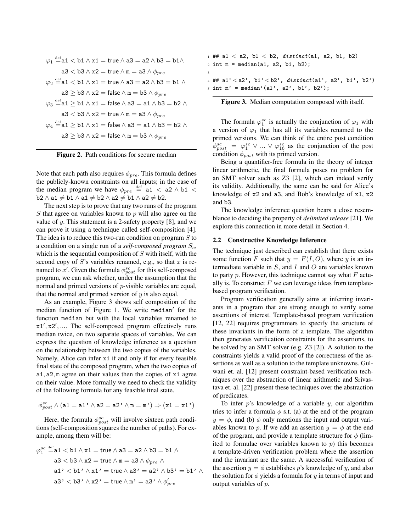$$
\varphi_1 \stackrel{\text{def}}{=} a1 < b1 \land x1 = \text{true} \land a3 = a2 \land b3 = b1 \land
$$
\n
$$
a3 < b3 \land x2 = \text{true} \land m = a3 \land \phi_{pre}
$$
\n
$$
\varphi_2 \stackrel{\text{def}}{=} a1 < b1 \land x1 = \text{true} \land a3 = a2 \land b3 = b1 \land
$$
\n
$$
a3 \ge b3 \land x2 = \text{false} \land m = b3 \land \phi_{pre}
$$
\n
$$
\varphi_3 \stackrel{\text{def}}{=} a1 \ge b1 \land x1 = \text{false} \land a3 = a1 \land b3 = b2 \land
$$
\n
$$
a3 < b3 \land x2 = \text{true} \land m = a3 \land \phi_{pre}
$$
\n
$$
\varphi_4 \stackrel{\text{def}}{=} a1 \ge b1 \land x1 = \text{false} \land a3 = a1 \land b3 = b2 \land
$$
\n
$$
a3 \ge b3 \land x2 = \text{false} \land m = b3 \land \phi_{pre}
$$



Note that each path also requires  $\phi_{pre}$ . This formula defines the publicly-known constraints on all inputs; in the case of the median program we have  $\phi_{pre} \stackrel{\text{def}}{=}$  a1  $\lt$  a2  $\land$  b1  $\lt$  $b2 \wedge a1 \neq b1 \wedge a1 \neq b2 \wedge a2 \neq b1 \wedge a2 \neq b2.$ 

The next step is to prove that any two runs of the program  $S$  that agree on variables known to  $p$  will also agree on the value of  $y$ . This statement is a 2-safety property [8], and we can prove it using a technique called self-composition [4]. The idea is to reduce this two-run condition on program  $S$  to a condition on a single run of a *self-composed program*  $S_c$ , which is the sequential composition of  $S$  with itself, with the second copy of  $S$ 's variables renamed, e.g., so that  $x$  is renamed to x'. Given the formula  $\phi_{post}^{sc}$  for this self-composed program, we can ask whether, under the assumption that the normal and primed versions of p-visible variables are equal, that the normal and primed version of  $y$  is also equal.

As an example, Figure 3 shows self composition of the median function of Figure 1. We write median' for the function median but with the local variables renamed to x1', x2', .... The self-composed program effectively runs median twice, on two separate spaces of variables. We can express the question of knowledge inference as a question on the relationship between the two copies of the variables. Namely, Alice can infer x1 if and only if for every feasible final state of the composed program, when the two copies of a1, a2, m agree on their values then the copies of x1 agree on their value. More formally we need to check the validity of the following formula for any feasible final state.

$$
\phi^{sc}_{post} \land (a1 = a1' \land a2 = a2' \land m = m') \Rightarrow (x1 = x1')
$$

Here, the formula  $\phi_{post}^{sc}$  will involve sixteen path conditions (self-composition squares the number of paths). For example, among them will be:

$$
\varphi_1^{sc} \stackrel{\text{def}}{=} \text{a1} < \text{b1} \land \text{x1} = \text{true} \land \text{a3} = \text{a2} \land \text{b3} = \text{b1} \land
$$
\n
$$
\text{a3} < \text{b3} \land \text{x2} = \text{true} \land \text{m} = \text{a3} \land \phi_{pre} \land
$$
\n
$$
\text{a1'} < \text{b1'} \land \text{x1'} = \text{true} \land \text{a3'} = \text{a2'} \land \text{b3'} = \text{b1'} \land
$$
\n
$$
\text{a3'} < \text{b3'} \land \text{x2'} = \text{true} \land \text{m'} = \text{a3'} \land \phi_{pre}'
$$

 $1$  ## a1 < a2, b1 < b2, distinct(a1, a2, b1, b2)  $2 \text{ int } m = \text{median}(a1, a2, b1, b2);$ 3 4 ## a1'  $\langle$  a2', b1'  $\langle$  b2', distinct(a1', a2', b1', b2')  $5$  int  $m'$  = median'(a1', a2', b1', b2');

Figure 3. Median computation composed with itself.

The formula  $\varphi_1^{sc}$  is actually the conjunction of  $\varphi_1$  with a version of  $\varphi_1$  that has all its variables renamed to the primed versions. We can think of the entire post condition  $\phi_{post}^{sc} = \varphi_1^{sc} \vee ... \vee \varphi_{16}^{sc}$  as the conjunction of the post condition  $\phi_{post}$  with its primed version.

Being a quantifier-free formula in the theory of integer linear arithmetic, the final formula poses no problem for an SMT solver such as Z3 [2], which can indeed verify its validity. Additionally, the same can be said for Alice's knowledge of x2 and a3, and Bob's knowledge of x1, x2 and b3.

The knowledge inference question bears a close resemblance to deciding the property of *delimited release* [21]. We explore this connection in more detail in Section 4.

#### 2.2 Constructive Knowledge Inference

The technique just described can establish that there exists some function F such that  $y = F(I, O)$ , where y is an intermediate variable in  $S$ , and  $I$  and  $O$  are variables known to party p. However, this technique cannot say what  $F$  actually is. To construct  $F$  we can leverage ideas from templatebased program verification.

Program verification generally aims at inferring invariants in a program that are strong enough to verify some assertions of interest. Template-based program verification [12, 22] requires programmers to specify the structure of these invariants in the form of a template. The algorithm then generates verification constraints for the assertions, to be solved by an SMT solver (e.g. Z3 [2]). A solution to the constraints yields a valid proof of the correctness of the assertions as well as a solution to the template unknowns. Gulwani et. al. [12] present constraint-based verification techniques over the abstraction of linear arithmetic and Srivastava et. al. [22] present these techniques over the abstraction of predicates.

To infer  $p$ 's knowledge of a variable  $y$ , our algorithm tries to infer a formula  $\phi$  s.t. (a) at the end of the program  $y = \phi$ , and (b)  $\phi$  only mentions the input and output variables known to p. If we add an assertion  $y = \phi$  at the end of the program, and provide a template structure for  $\phi$  (limited to formulae over variables known to  $p$ ) this becomes a template-driven verification problem where the assertion and the invariant are the same. A successful verification of the assertion  $y = \phi$  establishes p's knowledge of y, and also the solution for  $\phi$  yields a formula for y in terms of input and output variables of p.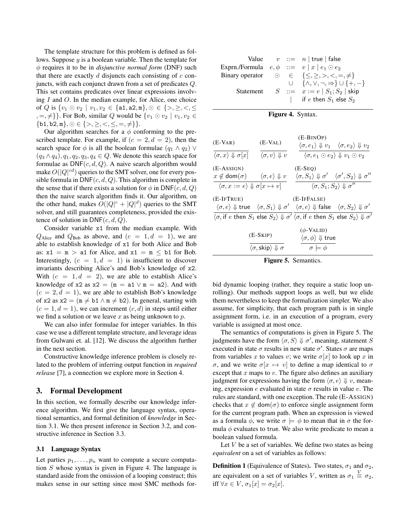The template structure for this problem is defined as follows. Suppose y is a boolean variable. Then the template for φ requires it to be in *disjunctive normal form* (DNF) such that there are exactly  $d$  disjuncts each consisting of  $c$  conjuncts, with each conjunct drawn from a set of predicates Q. This set contains predicates over linear expressions involving  $I$  and  $O$ . In the median example, for Alice, one choice of Q is  $\{v_1 \odot v_2 \mid v_1, v_2 \in \{\texttt{a1}, \texttt{a2}, \texttt{m}\}, \odot \in \{\gt, \geq, \lt, \leq\}$  $\{e_1, e_2, e_3\}$ . For Bob, similar Q would be  $\{v_1 \odot v_2 \mid v_1, v_2 \in \mathbb{R}\}$  $\{\mathtt{b1},\mathtt{b2},\mathtt{m}\},\odot\in\{>,\geq,<,\leq,=,\neq\}\}.$ 

Our algorithm searches for a  $\phi$  conforming to the prescribed template. For example, if  $(c = 2, d = 2)$ , then the search space for  $\phi$  is all the boolean formulae  $(q_1 \wedge q_2) \vee$  $(q_3 \wedge q_4), q_1, q_2, q_3, q_4 \in Q$ . We denote this search space for formulae as  $DNF(c, d, Q)$ . A naive search algorithm would make  $O(|Q|^{cd})$  queries to the SMT solver, one for every possible formula in  $\text{DNF}(c, d, Q)$ . This algorithm is complete in the sense that if there exists a solution for  $\phi$  in DNF(c, d, Q) then the naive search algorithm finds it. Our algorithm, on the other hand, makes  $O(|Q|^c + |Q|^d)$  queries to the SMT solver, and still guarantees completeness, provided the existence of solution in  $DNF(c, d, Q)$ .

Consider variable x1 from the median example. With  $Q_{\text{Alice}}$  and  $Q_{\text{Bob}}$  as above, and  $(c = 1, d = 1)$ , we are able to establish knowledge of x1 for both Alice and Bob as:  $x1 = m$  > a1 for Alice, and  $x1 = m \le b1$  for Bob. Interestingly,  $(c = 1, d = 1)$  is insufficient to discover invariants describing Alice's and Bob's knowledge of x2. With  $(c = 1, d = 2)$ , we are able to establish Alice's knowledge of x2 as  $x2 = (m = a1 \vee m = a2)$ . And with  $(c = 2, d = 1)$ , we are able to establish Bob's knowledge of x2 as  $x2 = (m \neq b1 \land m \neq b2)$ . In general, starting with  $(c = 1, d = 1)$ , we can increment  $(c, d)$  in steps until either we find a solution or we leave x as being unknown to  $p$ .

We can also infer formulae for integer variables. In this case we use a different template structure, and leverage ideas from Gulwani et. al. [12]. We discuss the algorithm further in the next section.

Constructive knowledge inference problem is closely related to the problem of inferring output function in *required release* [7], a connection we explore more in Section 4.

## 3. Formal Development

In this section, we formally describe our knowledge inference algorithm. We first give the language syntax, operational semantics, and formal definition of *knowledge* in Section 3.1. We then present inference in Section 3.2, and constructive inference in Section 3.3.

### 3.1 Language Syntax

Let parties  $p_1, \ldots, p_n$  want to compute a secure computation S whose syntax is given in Figure 4. The language is standard aside from the omission of a looping construct; this makes sense in our setting since most SMC methods for-

|                                                    |  | Value $v ::= n   true   false$                            |
|----------------------------------------------------|--|-----------------------------------------------------------|
| Exprn./Formula $e, \phi ::= v   x   e_1 \odot e_2$ |  |                                                           |
|                                                    |  | Binary operator $\odot \in \{\leq, \geq, >, <, =, \neq\}$ |
|                                                    |  | $\cup \{\wedge, \vee, \neg, \Rightarrow\} \cup \{+, -\}$  |
| Statement                                          |  | $S$ ::= $x := e \mid S_1; S_2 \mid$ skip                  |
|                                                    |  | if e then $S_1$ else $S_2$                                |
|                                                    |  |                                                           |

|  |  | <b>Figure 4.</b> Syntax. |
|--|--|--------------------------|
|--|--|--------------------------|

| (E-VAR)                                                                                                                                                      | $(E-VAL)$                                                               | $(E-BINOP)$<br>$\langle \sigma, e_1 \rangle \Downarrow v_1 \quad \langle \sigma, e_2 \rangle \Downarrow v_2$                                                                                              |  |
|--------------------------------------------------------------------------------------------------------------------------------------------------------------|-------------------------------------------------------------------------|-----------------------------------------------------------------------------------------------------------------------------------------------------------------------------------------------------------|--|
| $\langle \sigma, x \rangle \Downarrow \sigma[x] \qquad \langle \sigma, v \rangle \Downarrow v$                                                               |                                                                         | $\langle \sigma, e_1 \odot e_2 \rangle \Downarrow v_1 \odot v_2$                                                                                                                                          |  |
| (E-Assign)<br>$x \notin \text{dom}(\sigma) \qquad \langle \sigma, e \rangle \Downarrow v$<br>$\langle \sigma, x := e \rangle \Downarrow \sigma[x \mapsto v]$ |                                                                         | $(E-SEO)$<br>$\langle \sigma, S_1 \rangle \Downarrow \sigma' \quad \langle \sigma', S_2 \rangle \Downarrow \sigma''$<br>$\langle \sigma, S_1; S_2 \rangle \Downarrow \sigma''$                            |  |
| (E-IfTrue)                                                                                                                                                   |                                                                         | (E-IFFALSE)<br>$\langle \sigma, e \rangle \Downarrow$ true $\langle \sigma, S_1 \rangle \Downarrow \sigma'$ $\langle \sigma, e \rangle \Downarrow$ false $\langle \sigma, S_2 \rangle \Downarrow \sigma'$ |  |
|                                                                                                                                                              |                                                                         | $\langle \sigma, \text{if } e \text{ then } S_1 \text{ else } S_2 \rangle \Downarrow \sigma' \langle \sigma, \text{if } e \text{ then } S_1 \text{ else } S_2 \rangle \Downarrow \sigma'$                 |  |
|                                                                                                                                                              | $(E-SKIP)$<br>$\langle \sigma, \mathsf{skip} \rangle \Downarrow \sigma$ | $(\phi$ -VALID)<br>$\langle \sigma, \phi \rangle \Downarrow$ true<br>$\sigma \models \phi$                                                                                                                |  |



bid dynamic looping (rather, they require a static loop unrolling). Our methods support loops as well, but we elide them nevertheless to keep the formalization simpler. We also assume, for simplicity, that each program path is in single assignment form, i.e. in an execution of a program, every variable is assigned at most once.

The semantics of computations is given in Figure 5. The judgments have the form  $\langle \sigma, S \rangle \Downarrow \sigma'$ , meaning, statement S executed in state  $\sigma$  results in new state  $\sigma'$ . States  $\sigma$  are maps from variables x to values v; we write  $\sigma[x]$  to look up x in σ, and we write  $\sigma[x \mapsto v]$  to define a map identical to σ except that  $x$  maps to  $v$ . The figure also defines an auxiliary judgment for expressions having the form  $\langle \sigma, e \rangle \Downarrow v$ , meaning, expression e evaluated in state  $\sigma$  results in value v. The rules are standard, with one exception. The rule (E-ASSIGN) checks that  $x \notin \text{dom}(\sigma)$  to enforce single assignment form for the current program path. When an expression is viewed as a formula  $\phi$ , we write  $\sigma \models \phi$  to mean that in  $\sigma$  the formula  $\phi$  evaluates to true. We also write predicate to mean a boolean valued formula.

Let  $V$  be a set of variables. We define two states as being *equivalent* on a set of variables as follows:

**Definition 1** (Equivalence of States). Two states,  $\sigma_1$  and  $\sigma_2$ , are equivalent on a set of variables V, written as  $\sigma_1 \stackrel{V}{=} \sigma_2$ , iff  $\forall x \in V$ ,  $\sigma_1[x] = \sigma_2[x]$ .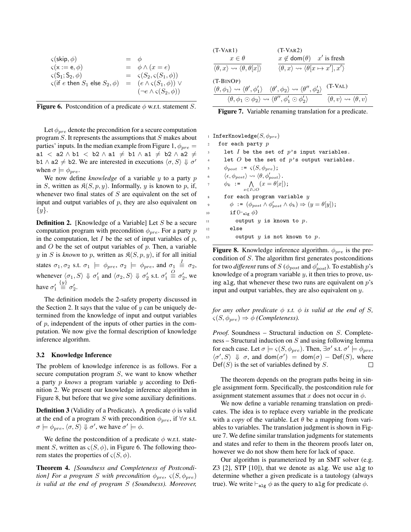| $\varsigma$ (skip, $\phi$ )                     | $=$ $\phi$ |                                          |
|-------------------------------------------------|------------|------------------------------------------|
| $\varsigma(\mathsf{x} := \mathsf{e}, \phi)$     |            | $= \phi \wedge (x = e)$                  |
| $\varsigma(S_1; S_2, \phi)$                     |            | $= \varsigma(S_2, \varsigma(S_1, \phi))$ |
| $\varsigma$ (if e then $S_1$ else $S_2, \phi$ ) |            | $= (e \wedge \varsigma(S_1, \phi)) \vee$ |
|                                                 |            | $(\neg e \land \varsigma(S_2, \phi))$    |

|  | <b>Figure 6.</b> Postcondition of a predicate $\phi$ w.r.t. statement <i>S</i> . |  |  |  |
|--|----------------------------------------------------------------------------------|--|--|--|
|--|----------------------------------------------------------------------------------|--|--|--|

Let  $\phi_{pre}$  denote the precondition for a secure computation program S. It represents the assumptions that S makes about parties' inputs. In the median example from Figure 1,  $\phi_{pre}$  =  $a1 < a2 \wedge b1 < b2 \wedge a1 \neq b1 \wedge a1 \neq b2 \wedge a2 \neq 0$ b1  $\land$  a2  $\neq$  b2. We are interested in executions  $\langle \sigma, S \rangle \Downarrow \sigma'$ when  $\sigma \models \phi_{pre}$ .

We now define *knowledge* of a variable y to a party p in S, written as  $\mathfrak{K}(S, p, y)$ . Informally, y is known to p, if, whenever two final states of  $S$  are equivalent on the set of input and output variables of  $p$ , they are also equivalent on  $\{y\}.$ 

**Definition 2.** [Knowledge of a Variable] Let S be a secure computation program with precondition  $\phi_{pre}$ . For a party p in the computation, let  $I$  be the set of input variables of  $p$ , and  $O$  be the set of output variables of  $p$ . Then, a variable y in S is known to p, written as  $\mathfrak{K}(S, p, y)$ , if for all initial states  $\sigma_1, \sigma_2$  s.t.  $\sigma_1 \models \phi_{pre}, \sigma_2 \models \phi_{pre}$ , and  $\sigma_1 \stackrel{I}{\equiv} \sigma_2$ , whenever  $\langle \sigma_1, S \rangle \Downarrow \sigma'_1$  and  $\langle \sigma_2, S \rangle \Downarrow \sigma'_2$  s.t.  $\sigma'_1$  $\stackrel{O}{\equiv} \sigma'_2$ , we have  $\sigma_1'$  $\stackrel{\{y\}}{\equiv} \sigma_2'.$ 

The definition models the 2-safety property discussed in the Section 2. It says that the value of  $y$  can be uniquely determined from the knowledge of input and output variables of  $p$ , independent of the inputs of other parties in the computation. We now give the formal description of knowledge inference algorithm.

#### 3.2 Knowledge Inference

The problem of knowledge inference is as follows. For a secure computation program  $S$ , we want to know whether a party p *knows* a program variable y according to Definition 2. We present our knowledge inference algorithm in Figure 8, but before that we give some auxiliary definitions.

**Definition 3** (Validity of a Predicate). A predicate  $\phi$  is valid at the end of a program S with precondition  $\phi_{\text{pre}}$ , if  $\forall \sigma$  s.t.  $\sigma \models \phi_{pre}, \langle \sigma, S \rangle \Downarrow \sigma'$ , we have  $\sigma' \models \phi$ .

We define the postcondition of a predicate  $\phi$  w.r.t. statement S, written as  $\varsigma(S, \phi)$ , in Figure 6. The following theorem states the properties of  $\varsigma(S, \phi)$ .

Theorem 4. *[Soundness and Completeness of Postcondition] For a program S* with precondition  $\phi_{pre}$ ,  $\varsigma(S, \phi_{pre})$ *is valid at the end of program* S *(Soundness). Moreover,*

| $(T-VAR1)$                                                                     | $(T-VAR2)$                                                                                                                                                  |                                                                        |
|--------------------------------------------------------------------------------|-------------------------------------------------------------------------------------------------------------------------------------------------------------|------------------------------------------------------------------------|
| $x \in \theta$                                                                 | $x \notin \text{dom}(\theta)$ x' is fresh                                                                                                                   |                                                                        |
| $\langle \theta, x \rangle \rightsquigarrow \langle \theta, \theta[x] \rangle$ | $\langle \theta, x \rangle \rightsquigarrow \langle \theta[x \mapsto x'], x' \rangle$                                                                       |                                                                        |
| $(T-BINOP)$                                                                    | $\langle \theta, \phi_1 \rangle \leadsto \langle \theta', \phi_1' \rangle \quad \langle \theta', \phi_2 \rangle \leadsto \langle \theta'', \phi_2' \rangle$ | $(T-VAL)$                                                              |
|                                                                                | $\langle \theta, \phi_1 \odot \phi_2 \rangle \rightsquigarrow \langle \theta'', \phi'_1 \odot \phi'_2 \rangle$                                              | $\langle \theta, v \rangle \rightsquigarrow \langle \theta, v \rangle$ |

Figure 7. Variable renaming translation for a predicate.

|                | <b>InferKnowledge</b> $(S, \phi_{pre})$                                                         |
|----------------|-------------------------------------------------------------------------------------------------|
| 2              | for each party $p$                                                                              |
| 3              | let I be the set of $p$ 's input variables.                                                     |
| $\overline{4}$ | let $O$ be the set of $p$ 's output variables.                                                  |
| 5              | $\phi_{post} := \varsigma(S, \phi_{pre});$                                                      |
| 6              | $\langle \epsilon, \phi_{post} \rangle \rightsquigarrow \langle \theta, \phi'_{post} \rangle$ . |
| $\overline{7}$ | $\phi_k := \bigwedge (x = \theta[x])$ ;<br>$x \in I \cup O$                                     |
| 8              | for each program variable $y$                                                                   |
| $\overline{9}$ | $\phi$ := $(\phi_{post} \wedge \phi'_{post} \wedge \phi_k) \Rightarrow (y = \theta[y])$ ;       |
| 10             | if $(\vdash_{\text{ale}} \phi)$                                                                 |
| 11             | output $y$ is known to $p$ .                                                                    |
| 12             | else                                                                                            |
| 13             | output $y$ is not known to $p$ .                                                                |

**Figure 8.** Knowledge inference algorithm.  $\phi_{pre}$  is the precondition of S. The algorithm first generates postconditions for two *different* runs of  $S$  ( $\phi_{post}$  and  $\phi'_{post}$ ). To establish  $p$ 's knowledge of a program variable  $y$ , it then tries to prove, using alg, that whenever these two runs are equivalent on  $p$ 's input and output variables, they are also equivalent on y.

*for any other predicate*  $\phi$  *s.t.*  $\phi$  *is valid at the end of S,*  $\varsigma(S, \phi_{pre}) \Rightarrow \phi$  *(Completeness).* 

*Proof.* Soundness – Structural induction on S. Complete $ness - Structural$  induction on  $S$  and using following lemma for each case. Let  $\sigma \models \varsigma(S, \phi_{pre})$ . Then,  $\exists \sigma'$  s.t.  $\sigma' \models \phi_{pre}$ ,  $\langle \sigma', S \rangle \Downarrow \sigma$ , and dom $(\sigma') =$  dom $(\sigma)$  – Def(S), where  $Def(S)$  is the set of variables defined by S.  $\Box$ 

The theorem depends on the program paths being in single assignment form. Specifically, the postcondition rule for assignment statement assumes that x does not occur in  $\phi$ .

We now define a variable renaming translation on predicates. The idea is to replace every variable in the predicate with a *copy* of the variable. Let  $\theta$  be a mapping from variables to variables. The translation judgment is shown in Figure 7. We define similar translation judgments for statements and states and refer to them in the theorem proofs later on, however we do not show them here for lack of space.

Our algorithm is parameterized by an SMT solver (e.g. Z3 [2], STP [10]), that we denote as alg. We use alg to determine whether a given predicate is a tautology (always true). We write  $\vdash_{\text{alg}} \phi$  as the query to algefor predicate  $\phi$ .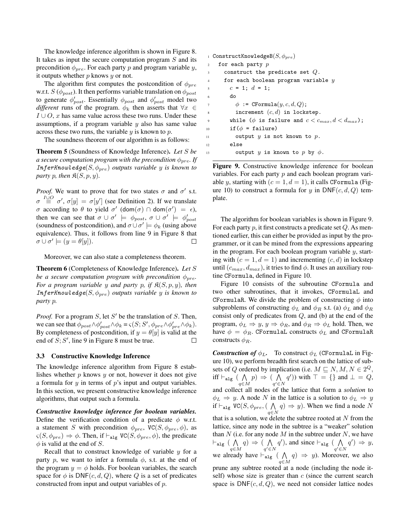The knowledge inference algorithm is shown in Figure 8. It takes as input the secure computation program S and its precondition  $\phi_{pre}$ . For each party p and program variable y, it outputs whether  $p$  knows  $y$  or not.

The algorithm first computes the postcondition of  $\phi_{pre}$ w.r.t.  $S(\phi_{post})$ . It then performs variable translation on  $\phi_{post}$ to generate  $\phi'_{post}$ . Essentially  $\phi_{post}$  and  $\phi'_{post}$  model two *different* runs of the program.  $\phi_k$  then asserts that  $\forall x \in$  $I \cup O$ , x has same value across these two runs. Under these assumptions, if a program variable  $y$  also has same value across these two runs, the variable  $y$  is known to  $p$ .

The soundness theorem of our algorithm is as follows:

Theorem 5 (Soundness of Knowledge Inference). *Let* S *be a secure computation program with the precondition*  $\phi_{pre}$ *. If* InferKnowledge $(S, \phi_{pre})$  *outputs variable* y *is known to party* p, then  $\Re(S, p, y)$ .

*Proof.* We want to prove that for two states  $\sigma$  and  $\sigma'$  s.t.  $\sigma \stackrel{I\cup O}{\equiv} \sigma', \sigma[y] = \sigma[y']$  (see Definition 2). If we translate *σ* according to *θ* to yield *σ'* (dom(*σ*) ∩ dom(*σ'*) =  $\epsilon$ ), then we can see that  $\sigma \cup \sigma' \models \phi_{post}, \sigma \cup \sigma' \models \phi_{post}'$ (soundness of postcondition), and  $\sigma \cup \sigma' \models \phi_k$  (using above equivalence). Thus, it follows from line 9 in Figure 8 that  $\sigma \cup \sigma' \models (y = \theta[y]).$  $\Box$ 

Moreover, we can also state a completeness theorem.

Theorem 6 (Completeness of Knowledge Inference). *Let* S *be a secure computation program with precondition*  $\phi_{pre}$ . *For a program variable* y *and party* p, if  $\mathfrak{K}(S, p, y)$ , then InferKnowledge $(S, \phi_{pre})$  *outputs variable* y *is known to party* p*.*

*Proof.* For a program  $S$ , let  $S'$  be the translation of  $S$ . Then, we can see that  $\phi_{post} \wedge \phi'_{post} \wedge \phi_k = \varsigma(S; S', \phi_{pre} \wedge \phi'_{pre} \wedge \phi_k).$ By completeness of postcondition, if  $y = \theta[y]$  is valid at the end of  $S; S'$ , line 9 in Figure 8 must be true.  $\Box$ 

#### 3.3 Constructive Knowledge Inference

The knowledge inference algorithm from Figure 8 establishes whether  $p$  knows  $y$  or not, however it does not give a formula for  $y$  in terms of  $p$ 's input and output variables. In this section, we present constructive knowledge inference algorithms, that output such a formula.

*Constructive knowledge inference for boolean variables.* Define the verification condition of a predicate  $\phi$  w.r.t. a statement S with precondition  $\phi_{pre}$ , VC(S,  $\phi_{pre}$ ,  $\phi$ ), as  $\varsigma(S, \phi_{pre}) \Rightarrow \phi$ . Then, if  $\vdash_{\text{alg}} \text{VC}(S, \phi_{pre}, \phi)$ , the predicate  $\phi$  is valid at the end of S.

Recall that to construct knowledge of variable  $y$  for a party p, we want to infer a formula  $\phi$ , s.t. at the end of the program  $y = \phi$  holds. For boolean variables, the search space for  $\phi$  is DNF(c, d, Q), where Q is a set of predicates constructed from input and output variables of p.

```
1 ConstructKnowledgeB(S, \phi_{pre})2 for each party pconstruct the predicate set Q.
4 for each boolean program variable yc = 1; d = 1;6 do
\phi := CFormula(y, c, d, Q);
         increment (c, d) in lockstep.
       while (\phi is failure and c < c_{max}, d < d_{max});
10 if (\phi = \text{failure})11 output y is not known to p.
12 else
13 output y is known to p by \phi.
```
Figure 9. Constructive knowledge inference for boolean variables. For each party  $p$  and each boolean program variable y, starting with  $(c = 1, d = 1)$ , it calls CFormula (Figure 10) to construct a formula for y in  $\text{DNF}(c, d, Q)$  template.

The algorithm for boolean variables is shown in Figure 9. For each party  $p$ , it first constructs a predicate set  $Q$ . As mentioned earlier, this can either be provided as input by the programmer, or it can be mined from the expressions appearing in the program. For each boolean program variable  $y$ , starting with  $(c = 1, d = 1)$  and incrementing  $(c, d)$  in lockstep until  $(c_{max}, d_{max})$ , it tries to find  $\phi$ . It uses an auxiliary routine CFormula, defined in Figure 10.

Figure 10 consists of the subroutine CFormula and two other subroutines, that it invokes, CFormulaL and CFormulaR. We divide the problem of constructing  $\phi$  into subproblems of constructing  $\phi_L$  and  $\phi_R$  s.t. (a)  $\phi_L$  and  $\phi_R$ consist only of predicates from Q, and (b) at the end of the program,  $\phi_L \Rightarrow y, y \Rightarrow \phi_R$ , and  $\phi_R \Rightarrow \phi_L$  hold. Then, we have  $\phi = \phi_R$ . CFormulaL constructs  $\phi_L$  and CFormulaR constructs  $\phi_R$ .

*Construction of*  $\phi_L$ . To construct  $\phi_L$  (CFormulaL in Figure 10), we perform breadth first search on the lattice of subsets of Q ordered by implication (i.e.  $M \sqsubseteq N, M, N \in 2^Q$ , iff  $\vdash_{\mathtt{alg}}$  (  $\bigwedge$ q∈M  $p) \Rightarrow (\Lambda$  $q' \in N$  $q'$ )) with  $\top = \{\}$  and  $\bot = Q$ , and collect all nodes of the lattice that form a *solution* to  $\phi_L \Rightarrow y$ . A node N in the lattice is a solution to  $\phi_L \Rightarrow y$ if  $\vdash_{\texttt{alg}}$  VC( $S, \phi_{pre}, (\; \bigwedge$ q∈N  $(q) \Rightarrow y$ ). When we find a node N that is a solution, we delete the subtree rooted at  $N$  from the lattice, since any node in the subtree is a "weaker" solution than  $N$  (i.e. for any node  $M$  in the subtree under  $N$ , we have  $\vdash_{\mathtt{alg}}$  (  $\bigwedge$ q∈M  $q) \Rightarrow (\Lambda$  $q' \in N$  $q'$ ), and since  $\vdash_{\text{alg}}$  (  $\bigwedge$  $q' \in N$  $q'$   $\Rightarrow$  y, we already have  $\vdash_{\text{alg}}$  (  $\bigwedge$ q∈M  $q) \Rightarrow y$ ). Moreover, we also prune any subtree rooted at a node (including the node itself) whose size is greater than  $c$  (since the current search space is  $DNF(c, d, Q)$ , we need not consider lattice nodes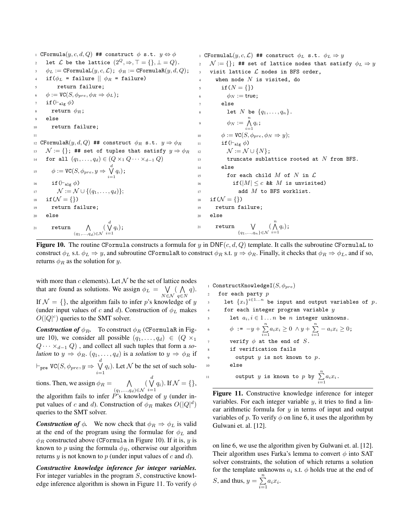1 CFormula $(y, c, d, Q)$  ## construct  $\phi$  s.t.  $y \Leftrightarrow \phi$ 2 let  $\mathcal L$  be the lattice  $(2^Q, \Rightarrow, \top = \{\}, \bot = Q)$ .  $\phi_L := \texttt{CFormulaL}(y, c, \mathcal{L}); \; \phi_R := \texttt{CFormulaR}(y, d, Q);$ if( $\phi_L$  = failure  $|| \phi_R$  = failure) return failure;  $\phi := \text{VC}(S, \phi_{pre}, \phi_R \Rightarrow \phi_L);$ if( $\vdash$ <sub>alg</sub>  $\phi$ ) return  $\phi_R$ ; else <sup>10</sup> return failure; 11 12 CFormulaR $(y, d, Q)$  ## construct  $\phi_R$  s.t.  $y \Rightarrow \phi_R$ 13  $\mathcal{N} := \{\}$ ; ## set of tuples that satisfy  $y \Rightarrow \phi_R$ 14 for all  $(q_1, \ldots, q_d) \in (Q \times_1 Q \cdots \times_{d-1} Q)$ 15  $\phi := \text{VC}(S, \phi_{pre}, y \Rightarrow \bigvee_{i=1}^{d} q_i);$ 16 if  $(\vdash_{\text{alg }\phi})$ 17  $\mathcal{N} := \mathcal{N} \cup \{(q_1, \ldots, q_d)\};$ 18 if  $(N = \{\})$ <sup>19</sup> return failure; <sup>20</sup> else 21 return  $\bigwedge$  $(q_1,...,q_d) \in \mathcal{N}$  $(\bigvee_{i=1}^dq_i);$ 1 CFormulaL $(y, c, \mathcal{L})$  ## construct  $\phi_L$  s.t.  $\phi_L \Rightarrow y$  $\mathcal{N} := \{\}$ ; ## set of lattice nodes that satisfy  $\phi_L \Rightarrow y$ visit lattice  $L$  nodes in BFS order, when node  $N$  is visited, do if  $(N = \{\})$ 6  $\phi_N := \text{true};$ else  $\begin{aligned} \text{Set} \quad & \text{Set} \quad N \ \ \text{be} \ \ \{q_1, \ldots, q_n\} \,. \end{aligned}$ <sup>9</sup>  $\phi_N := \bigwedge_{i=1}^n q_i$ ; 10  $\phi := \text{VC}(S, \phi_{pre}, \phi_N \Rightarrow y);$ 11 if  $(\vdash_{\text{alg }\phi})$ 12  $\mathcal{N} := \mathcal{N} \cup \{N\};$ 13 truncate sublattice rooted at  $N$  from BFS.  $14$  else 15 for each child  $M$  of  $N$  in  $\mathcal L$ 16 if  $(|M| \leq c$  & M is unvisited)  $17$  add  $M$  to BFS worklist. 18 if  $(N = \{\})$ <sup>19</sup> return failure; <sup>20</sup> else 21 return  $\bigvee$  ${q_1,...,q_n} \in \mathcal{N}$  $\left(\bigwedge_{i=1}^n q_i\right);$ 

**Figure 10.** The routine CFormula constructs a formula for y in  $DNF(c, d, Q)$  template. It calls the subroutine CFormulaL to construct  $\phi_L$  s.t.  $\phi_L \Rightarrow y$ , and subroutine CFormulaR to construct  $\phi_R$  s.t.  $y \Rightarrow \phi_R$ . Finally, it checks that  $\phi_R \Rightarrow \phi_L$ , and if so, returns  $\phi_R$  as the solution for y.

with more than  $c$  elements). Let  $\mathcal N$  be the set of lattice nodes that are found as solutions. We assign  $\phi_L = \bigvee$ N∈N  $($   $\wedge$  $q \in N$  $q$ ). If  $\mathcal{N} = \{\}$ , the algorithm fails to infer p's knowledge of y (under input values of c and d). Construction of  $\phi_L$  makes  $O(|Q|^c)$  queries to the SMT solver.

*Construction of*  $\phi_R$ . To construct  $\phi_R$  (CFormulaR in Figure 10), we consider all possible  $(q_1, \ldots, q_d) \in (Q \times_1$  $Q \cdots \times_{d-1} Q$ , and collect all such tuples that form a *solution* to  $y \Rightarrow \phi_R$ .  $(q_1, \ldots, q_d)$  is a *solution* to  $y \Rightarrow \phi_R$  if  $\vdash_{\mathtt{pre}}$  VC $(S, \phi_{pre}, y \Rightarrow \forall$  $\bigvee_{i=1} q_i$ ). Let N be the set of such solutions. Then, we assign  $\phi_R = \bigwedge$  $(q_1,...,q_d)$ ∈N  $\begin{pmatrix} d \\ V \end{pmatrix}$  $\bigvee_{i=1}^{\mathcal{N}} q_i$ ). If  $\mathcal{N} = \{\},\$ 

the algorithm fails to infer  $P$ 's knowledge of  $y$  (under input values of c and d). Construction of  $\phi_R$  makes  $O(|Q|^d)$ queries to the SMT solver.

*Construction of*  $\phi$ . We now check that  $\phi_R \Rightarrow \phi_L$  is valid at the end of the program using the formulae for  $\phi_L$  and  $\phi_R$  constructed above (CFormula in Figure 10). If it is, y is known to p using the formula  $\phi_R$ , otherwise our algorithm returns  $y$  is not known to  $p$  (under input values of  $c$  and  $d$ ).

*Constructive knowledge inference for integer variables.* For integer variables in the program S, constructive knowledge inference algorithm is shown in Figure 11. To verify  $\phi$ 

1 ConstructKnowledgeI $(S, \phi_{pre})$ for each party  $p$  $_3$  let  $\{x_i\}^{i\in{1...n}}$  be input and output variables of  $p$ . for each integer program variable  $y$ let  $a_i, i \in 1 \ldots n$  be  $n$  integer unknowns. 6  $\phi := -y + \sum_{i=1}^{n} a_i x_i \ge 0 \land y + \sum_{i=1}^{n} -a_i x_i \ge 0;$ verify  $\phi$  at the end of S. if verification fails output  $y$  is not known to  $p$ . <sup>10</sup> else 11 output *y* is known to *p* by  $\sum_{i=1}^{n} a_i x_i$ .

Figure 11. Constructive knowledge inference for integer variables. For each integer variable  $y$ , it tries to find a linear arithmetic formula for  $y$  in terms of input and output variables of p. To verify  $\phi$  on line 6, it uses the algorithm by Gulwani et. al. [12].

on line 6, we use the algorithm given by Gulwani et. al. [12]. Their algorithm uses Farka's lemma to convert  $\phi$  into SAT solver constraints, the solution of which returns a solution for the template unknowns  $a_i$  s.t.  $\phi$  holds true at the end of S, and thus,  $y = \sum_{n=1}^{\infty}$  $\sum_{i=1} a_i x_i.$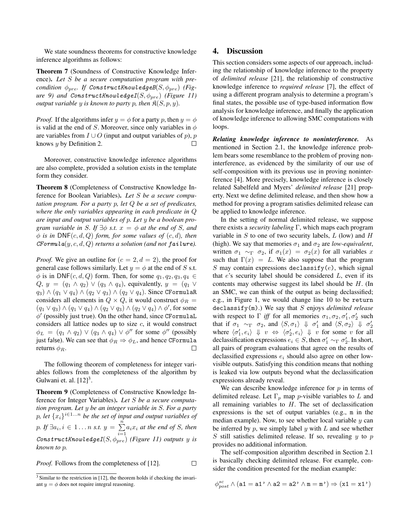We state soundness theorems for constructive knowledge inference algorithms as follows:

Theorem 7 (Soundness of Constructive Knowledge Inference). *Let* S *be a secure computation program with precondition*  $\phi_{pre}$ *. If ConstructKnowledgeB*( $S$ ,  $\phi_{pre}$ ) *(Figure* 9) and ConstructKnowledgeI( $S$ ,  $\phi_{pre}$ ) *(Figure 11) output variable* y *is known to party* p, then  $\mathfrak{K}(S, p, y)$ *.* 

*Proof.* If the algorithms infer  $y = \phi$  for a party p, then  $y = \phi$ is valid at the end of S. Moreover, since only variables in  $\phi$ are variables from  $I \cup O$  (input and output variables of p), p knows  $y$  by Definition 2.  $\Box$ 

Moreover, constructive knowledge inference algorithms are also complete, provided a solution exists in the template form they consider.

Theorem 8 (Completeness of Constructive Knowledge Inference for Boolean Variables). *Let* S *be a secure computation program. For a party* p*, let* Q *be a set of predicates, where the only variables appearing in each predicate in* Q *are input and output variables of* p*. Let* y *be a boolean program variable in* S. If  $\exists \phi$  *s.t.*  $x = \phi$  *at the end of* S, *and*  $\phi$  *is in* DNF(c, d, Q) *form, for some values of* (c, d), *then*  $C\text{Formula}(y, c, d, Q)$  *returns a solution (and not failure).* 

*Proof.* We give an outline for  $(c = 2, d = 2)$ , the proof for general case follows similarly. Let  $y = \phi$  at the end of S s.t.  $\phi$  is in DNF(c, d, Q) form. Then, for some  $q_1, q_2, q_3, q_4 \in$  $Q, y = (q_1 \wedge q_2) \vee (q_3 \wedge q_4)$ , equivalently,  $y = (q_1 \vee q_2)$  $q_3) \wedge (q_1 \vee q_4) \wedge (q_2 \vee q_3) \wedge (q_2 \vee q_4)$ . Since CFormulaR considers all elements in  $Q \times Q$ , it would construct  $\phi_R =$  $(q_1 \vee q_3) \wedge (q_1 \vee q_4) \wedge (q_2 \vee q_3) \wedge (q_2 \vee q_4) \wedge \phi'$ , for some  $\phi'$  (possibly just true). On the other hand, since CFormulaL considers all lattice nodes up to size  $c$ , it would construct  $\phi_L = (q_1 \wedge q_2) \vee (q_3 \wedge q_4) \vee \phi''$  for some  $\phi''$  (possibly just false). We can see that  $\phi_R \Rightarrow \phi_L$ , and hence CFormula returns  $\phi_B$ .  $\Box$ 

The following theorem of completeness for integer variables follows from the completeness of the algorithm by Gulwani et. al.  $[12]^3$ .

Theorem 9 (Completeness of Constructive Knowledge Inference for Integer Variables). *Let* S *be a secure computation program. Let* y *be an integer variable in* S*. For a party* p, let  ${x_i}$ <sup>i∈1...n</sup> be the set of input and output variables of p. If  $\exists a_i, i \in 1 \ldots n$  s.t.  $y = \sum_{i=1}^{n}$  $\sum_{i=1} a_i x_i$  *at the end of S, then*  $\textit{Construct}$ KnowledgeI $(S, \phi_{pre})$  *(Figure 11) outputs* y *is known to* p*.*

*Proof.* Follows from the completeness of [12].  $\Box$ 

# 4. Discussion

This section considers some aspects of our approach, including the relationship of knowledge inference to the property of *delimited release* [21], the relationship of constructive knowledge inference to *required release* [7], the effect of using a different program analysis to determine a program's final states, the possible use of type-based information flow analysis for knowledge inference, and finally the application of knowledge inference to allowing SMC computations with loops.

*Relating knowledge inference to noninterference.* As mentioned in Section 2.1, the knowledge inference problem bears some resemblance to the problem of proving noninterference, as evidenced by the similarity of our use of self-composition with its previous use in proving noninterference [4]. More precisely, knowledge inference is closely related Sabelfeld and Myers' *delimited release* [21] property. Next we define delimited release, and then show how a method for proving a program satisfies delimited release can be applied to knowledge inference.

In the setting of normal delimited release, we suppose there exists a *security labeling* Γ, which maps each program variable in  $S$  to one of two security labels,  $L$  (low) and  $H$ (high). We say that memories  $\sigma_1$  and  $\sigma_2$  are *low-equivalent*, written  $\sigma_1 \sim_{\Gamma} \sigma_2$ , if  $\sigma_1(x) = \sigma_2(x)$  for all variables x such that  $\Gamma(x) = L$ . We also suppose that the program S may contain expressions declassify(e), which signal that  $e$ 's security label should be considered  $L$ , even if its contents may otherwise suggest its label should be H. (In an SMC, we can think of the output as being declassified; e.g., in Figure 1, we would change line 10 to be return declassify(m).) We say that S enjoys *delimited release* with respect to  $\Gamma$  *iff* for all memories  $\sigma_1, \sigma_2, \sigma'_1, \sigma'_2$  such that if  $\sigma_1 \sim_{\Gamma} \sigma_2$ , and  $\langle S, \sigma_1 \rangle \Downarrow \sigma'_1$  and  $\langle S, \sigma_2 \rangle \Downarrow \sigma'_2$ where  $\langle \sigma'_1, e_i \rangle \Downarrow v \Leftrightarrow \langle \sigma'_2, e_i \rangle \Downarrow v$  for some v for all declassification expressions  $e_i \in S$ , then  $\sigma'_1 \sim_{\Gamma} \sigma'_2$ . In short, all pairs of program evaluations that agree on the results of declassified expressions  $e_i$  should also agree on other lowvisible outputs. Satisfying this condition means that nothing is leaked via low outputs beyond what the declassification expressions already reveal.

We can describe knowledge inference for  $p$  in terms of delimited release. Let  $\Gamma_p$  map *p*-visible variables to L and all remaining variables to  $H$ . The set of declassification expressions is the set of output variables (e.g., m in the median example). Now, to see whether local variable  $y$  can be inferred by  $p$ , we simply label  $y$  with  $L$  and see whether  $S$  still satisfies delimited release. If so, revealing  $y$  to  $p$ provides no additional information.

The self-composition algorithm described in Section 2.1 is basically checking delimited release. For example, consider the condition presented for the median example:

$$
\phi^{sc}_{post} \land (a1 = a1' \land a2 = a2' \land \mathtt{m} = \mathtt{m'}) \Rightarrow ( \mathtt{x1} = \mathtt{x1'})
$$

<sup>&</sup>lt;sup>3</sup> Similar to the restriction in [12], the theorem holds if checking the invariant  $y = \phi$  does not require integral reasoning.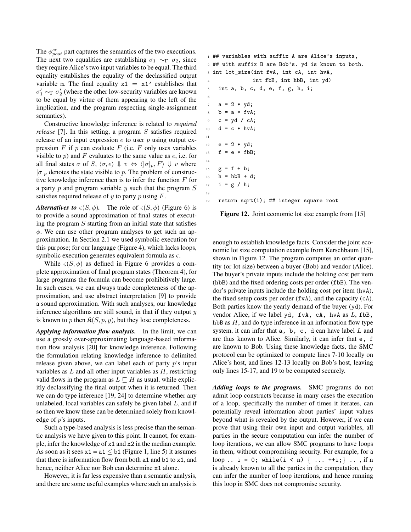The  $\phi_{post}^{sc}$  part captures the semantics of the two executions. The next two equalities are establishing  $\sigma_1 \sim_{\Gamma} \sigma_2$ , since they require Alice's two input variables to be equal. The third equality establishes the equality of the declassified output variable m. The final equality  $x1 = x1'$  establishes that  $\sigma'_1 \sim_{\Gamma} \sigma'_2$  (where the other low-security variables are known to be equal by virtue of them appearing to the left of the implication, and the program respecting single-assignment semantics).

Constructive knowledge inference is related to *required release* [7]. In this setting, a program S satisfies required release of an input expression  $e$  to user  $p$  using output expression  $F$  if  $p$  can evaluate  $F$  (i.e.  $F$  only uses variables visible to  $p$ ) and F evaluates to the same value as  $e$ , i.e. for all final states  $\sigma$  of  $S, \langle \sigma, e \rangle \Downarrow v \Leftrightarrow \langle |\sigma|_p, F \rangle \Downarrow v$  where  $|\sigma|_p$  denotes the state visible to p. The problem of constructive knowledge inference then is to infer the function  $F$  for a party  $p$  and program variable  $y$  such that the program  $S$ satisfies required release of  $y$  to party  $p$  using  $F$ .

*Alternatives to*  $\varsigma(S,\phi)$ . The role of  $\varsigma(S,\phi)$  (Figure 6) is to provide a sound approximation of final states of executing the program  $S$  starting from an initial state that satisfies  $\phi$ . We can use other program analyses to get such an approximation. In Section 2.1 we used symbolic execution for this purpose; for our language (Figure 4), which lacks loops, symbolic execution generates equivalent formula as ς.

While  $\varsigma(S, \phi)$  as defined in Figure 6 provides a complete approximation of final program states (Theorem 4), for large programs the formula can become prohibitively large. In such cases, we can always trade completeness of the approximation, and use abstract interpretation [9] to provide a sound approximation. With such analyses, our knowledge inference algorithms are still sound, in that if they output  $y$ is known to p then  $\mathfrak{K}(S, p, y)$ , but they lose completeness.

*Applying information flow analysis.* In the limit, we can use a grossly over-approximating language-based information flow analysis [20] for knowledge inference. Following the formulation relating knowledge inference to delimited release given above, we can label each of party  $p$ 's input variables as  $L$  and all other input variables as  $H$ , restricting valid flows in the program as  $L \sqsubseteq H$  as usual, while explicitly declassifying the final output when it is returned. Then we can do type inference [19, 24] to determine whether any unlabeled, local variables can safely be given label  $L$ , and if so then we know these can be determined solely from knowledge of p's inputs.

Such a type-based analysis is less precise than the semantic analysis we have given to this point. It cannot, for example, infer the knowledge of x1 and x2 in the median example. As soon as it sees  $x1 = a1 \leq b1$  (Figure 1, line 5) it assumes that there is information flow from both a1 and b1 to x1, and hence, neither Alice nor Bob can determine x1 alone.

However, it is far less expensive than a semantic analysis, and there are some useful examples where such an analysis is

```
1 ## variables with suffix A are Alice's inputs,
2 ## with suffix B are Bob's. yd is known to both.
3 int lot_size(int fvA, int cA, int hvA,
               int fbB, int hbB, int yd)
    int a, b, c, d, e, f, g, h, i;
6
    a = 2 * yd;b = a * f v A;c = yd / cA;10 d = c * hvA;
11
12 e = 2 * yd;
13 f = e * fbB;
14
15 g = f + b;
h = h b B + d;17   i = g / h;18
19 return sqrt(i); ## integer square root
```

| Figure 12. Joint economic lot size example from [15] |  |
|------------------------------------------------------|--|
|------------------------------------------------------|--|

enough to establish knowledge facts. Consider the joint economic lot size computation example from Kerschbaum [15], shown in Figure 12. The program computes an order quantity (or lot size) between a buyer (Bob) and vendor (Alice). The buyer's private inputs include the holding cost per item (hbB) and the fixed ordering costs per order (fbB). The vendor's private inputs include the holding cost per item (hvA), the fixed setup costs per order (fvA), and the capacity (cA). Both parties know the yearly demand of the buyer (yd). For vendor Alice, if we label yd, fvA, cA, hvA as L, fbB, hbB as  $H$ , and do type inference in an information flow type system, it can infer that  $a$ ,  $b$ ,  $c$ ,  $d$  can have label  $L$  and are thus known to Alice. Similarly, it can infer that e, f are known to Bob. Using these knowledge facts, the SMC protocol can be optimized to compute lines 7-10 locally on Alice's host, and lines 12-13 locally on Bob's host, leaving only lines 15-17, and 19 to be computed securely.

*Adding loops to the programs.* SMC programs do not admit loop constructs because in many cases the execution of a loop, specifically the number of times it iterates, can potentially reveal information about parties' input values beyond what is revealed by the output. However, if we can prove that using their own input and output variables, all parties in the secure computation can infer the number of loop iterations, we can allow SMC programs to have loops in them, without compromising security. For example, for a loop .. i = 0; while(i < n) { ... ++i;} ... , if n is already known to all the parties in the computation, they can infer the number of loop iterations, and hence running this loop in SMC does not compromise security.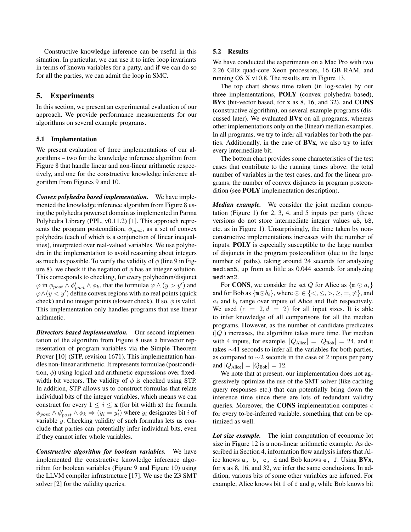Constructive knowledge inference can be useful in this situation. In particular, we can use it to infer loop invariants in terms of known variables for a party, and if we can do so for all the parties, we can admit the loop in SMC.

# 5. Experiments

In this section, we present an experimental evaluation of our approach. We provide performance measurements for our algorithms on several example programs.

## 5.1 Implementation

We present evaluation of three implementations of our algorithms – two for the knowledge inference algorithm from Figure 8 that handle linear and non-linear arithmetic respectively, and one for the constructive knowledge inference algorithm from Figures 9 and 10.

*Convex polyhedra based implementation.* We have implemented the knowledge inference algorithm from Figure 8 using the polyhedra powerset domain as implemented in Parma Polyhedra Library (PPL, v0.11.2) [1]. This approach represents the program postcondition,  $\phi_{post}$ , as a set of convex polyhedra (each of which is a conjunction of linear inequalities), interpreted over real-valued variables. We use polyhedra in the implementation to avoid reasoning about integers as much as possible. To verify the validity of  $\phi$  (line 9 in Figure 8), we check if the negation of  $\phi$  has an integer solution. This corresponds to checking, for every polyhedron/disjunct  $\varphi$  in  $\phi_{post} \wedge \phi'_{post} \wedge \phi_k$ , that the formulae  $\varphi \wedge (y > y')$  and  $\varphi \wedge (y \leq y')$  define convex regions with no real points (quick check) and no integer points (slower check). If so,  $\phi$  is valid. This implementation only handles programs that use linear arithmetic.

*Bitvectors based implementation.* Our second implementation of the algorithm from Figure 8 uses a bitvector representation of program variables via the Simple Theorem Prover [10] (STP, revision 1671). This implementation handles non-linear arithmetic. It represents formulae (postcondition,  $\phi$ ) using logical and arithmetic expressions over fixedwidth bit vectors. The validity of  $\phi$  is checked using STP. In addition, STP allows us to construct formulas that relate individual bits of the integer variables, which means we can construct for every  $1 \leq i \leq x$  (for bit width x) the formula  $\phi_{post} \wedge \phi'_{post} \wedge \phi_k \Rightarrow (y_i = y'_i)$  where  $y_i$  designates bit *i* of variable  $\hat{y}$ . Checking validity of such formulas lets us conclude that parties can potentially infer individual bits, even if they cannot infer whole variables.

*Constructive algorithm for boolean variables.* We have implemented the constructive knowledge inference algorithm for boolean variables (Figure 9 and Figure 10) using the LLVM compiler infrastructure [17]. We use the Z3 SMT solver [2] for the validity queries.

## 5.2 Results

We have conducted the experiments on a Mac Pro with two 2.26 GHz quad-core Xeon processors, 16 GB RAM, and running OS X v10.8. The results are in Figure 13.

The top chart shows time taken (in log-scale) by our three implementations, POLY (convex polyhedra based), BVx (bit-vector based, for x as 8, 16, and 32), and CONS (constructive algorithm), on several example programs (discussed later). We evaluated BVx on all programs, whereas other implementations only on the (linear) median examples. In all programs, we try to infer all variables for both the parties. Additionally, in the case of BVx, we also try to infer every intermediate bit.

The bottom chart provides some characteristics of the test cases that contribute to the running times above: the total number of variables in the test cases, and for the linear programs, the number of convex disjuncts in program postcondition (see POLY implementation description).

*Median example.* We consider the joint median computation (Figure 1) for 2, 3, 4, and 5 inputs per party (these versions do not store intermediate integer values a3, b3, etc. as in Figure 1). Unsurprisingly, the time taken by nonconstructive implementations increases with the number of inputs. POLY is especially susceptible to the large number of disjuncts in the program postcondition (due to the large number of paths), taking around 24 seconds for analyzing median5, up from as little as 0.044 seconds for analyzing median2.

For **CONS**, we consider the set Q for Alice as  $\{\mathbf{m} \odot a_i\}$ and for Bob as  $\{\mathfrak{m} \odot b_i\}$ , where  $\odot \in \{<,\leq,>,\geq,=,\neq\}$ , and  $a_i$  and  $b_i$  range over inputs of Alice and Bob respectively. We used  $(c = 2, d = 2)$  for all input sizes. It is able to infer knowledge of all comparisons for all the median programs. However, as the number of candidate predicates  $(|Q|)$  increases, the algorithm takes more time. For median with 4 inputs, for example,  $|Q_{\text{Alice}}| = |Q_{\text{Bob}}| = 24$ , and it takes ∼41 seconds to infer all the variables for both parties, as compared to ∼2 seconds in the case of 2 inputs per party and  $|Q_{\text{Alice}}| = |Q_{\text{Bob}}| = 12$ .

We note that at present, our implementation does not aggressively optimize the use of the SMT solver (like caching query responses etc.) that can potentially bring down the inference time since there are lots of redundant validity queries. Moreover, the CONS implementation computes  $\varsigma$ for every to-be-inferred variable, something that can be optimized as well.

*Lot size example.* The joint computation of economic lot size in Figure 12 is a non-linear arithmetic example. As described in Section 4, information flow analysis infers that Alice knows a, b, c, d and Bob knows e, f. Using BVx, for x as 8, 16, and 32, we infer the same conclusions. In addition, various bits of some other variables are inferred. For example, Alice knows bit 1 of f and g, while Bob knows bit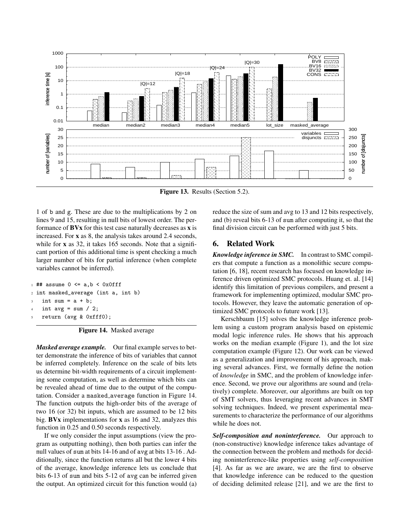

Figure 13. Results (Section 5.2).

1 of b and g. These are due to the multiplications by 2 on lines 9 and 15, resulting in null bits of lowest order. The performance of  $\bf BVx$  for this test case naturally decreases as  $\bf x$  is increased. For x as 8, the analysis takes around 2.4 seconds, while for **x** as 32, it takes 165 seconds. Note that a significant portion of this additional time is spent checking a much larger number of bits for partial inference (when complete variables cannot be inferred).

```
\## assume 0 <= a,b < 0x0fff
2 int masked_average (int a, int b)
   int sum = a + b;int avg = sum / 2;
   return (avg & 0xfff0);
```
Figure 14. Masked average

*Masked average example.* Our final example serves to better demonstrate the inference of bits of variables that cannot be inferred completely. Inference on the scale of bits lets us determine bit-width requirements of a circuit implementing some computation, as well as determine which bits can be revealed ahead of time due to the output of the computation. Consider a masked average function in Figure 14. The function outputs the high-order bits of the average of two 16 (or 32) bit inputs, which are assumed to be 12 bits big. BVx implementations for x as 16 and 32, analyzes this function in 0.25 and 0.50 seconds respectively.

If we only consider the input assumptions (view the program as outputting nothing), then both parties can infer the null values of sum at bits 14-16 and of avg at bits 13-16 . Additionally, since the function returns all but the lower 4 bits of the average, knowledge inference lets us conclude that bits 6-13 of sum and bits 5-12 of avg can be inferred given the output. An optimized circuit for this function would (a) reduce the size of sum and avg to 13 and 12 bits respectively, and (b) reveal bits 6-13 of sum after computing it, so that the final division circuit can be performed with just 5 bits.

# 6. Related Work

*Knowledge inference in SMC.* In contrast to SMC compilers that compute a function as a monolithic secure computation [6, 18], recent research has focused on knowledge inference driven optimized SMC protocols. Huang et. al. [14] identify this limitation of previous compilers, and present a framework for implementing optimized, modular SMC protocols. However, they leave the automatic generation of optimized SMC protocols to future work [13].

Kerschbaum [15] solves the knowledge inference problem using a custom program analysis based on epistemic modal logic inference rules. He shows that his approach works on the median example (Figure 1), and the lot size computation example (Figure 12). Our work can be viewed as a generalization and improvement of his approach, making several advances. First, we formally define the notion of *knowledge* in SMC, and the problem of knowledge inference. Second, we prove our algorithms are sound and (relatively) complete. Moreover, our algorithms are built on top of SMT solvers, thus leveraging recent advances in SMT solving techniques. Indeed, we present experimental measurements to characterize the performance of our algorithms while he does not.

*Self-composition and noninterference.* Our approach to (non-constructive) knowledge inference takes advantage of the connection between the problem and methods for deciding noninterference-like properties using *self-composition* [4]. As far as we are aware, we are the first to observe that knowledge inference can be reduced to the question of deciding delimited release [21], and we are the first to